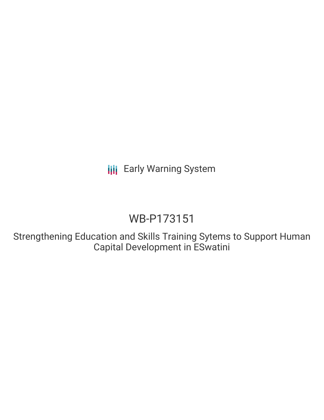# WB-P173151

Strengthening Education and Skills Training Sytems to Support Human Capital Development in ESwatini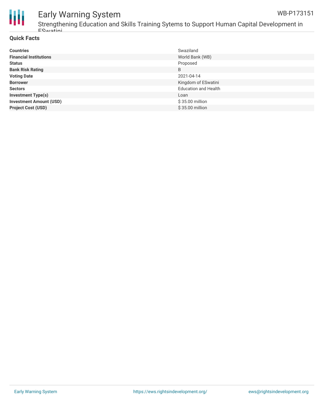

Strengthening Education and Skills Training Sytems to Support Human Capital Development in ESwatini

### **Quick Facts**

| <b>Countries</b>               | Swaziland                   |
|--------------------------------|-----------------------------|
| <b>Financial Institutions</b>  | World Bank (WB)             |
| <b>Status</b>                  | Proposed                    |
| <b>Bank Risk Rating</b>        | B                           |
| <b>Voting Date</b>             | 2021-04-14                  |
| <b>Borrower</b>                | Kingdom of ESwatini         |
| <b>Sectors</b>                 | <b>Education and Health</b> |
| <b>Investment Type(s)</b>      | Loan                        |
| <b>Investment Amount (USD)</b> | \$35.00 million             |
| <b>Project Cost (USD)</b>      | \$35.00 million             |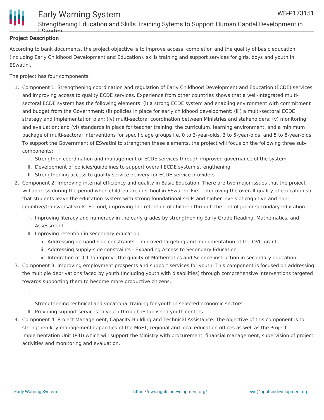

### **Project Description**

According to bank documents, the project objective is to improve access, completion and the quality of basic education (including Early Childhood Development and Education), skills training and support services for girls, boys and youth in ESwatini.

The project has four components:

- 1. Component 1: Strengthening coordination and regulation of Early Childhood Development and Education (ECDE) services and improving access to quality ECDE services. Experience from other countries shows that a well-integrated multisectoral ECDE system has the following elements: (i) a strong ECDE system and enabling environment with commitment and budget from the Government; (ii) policies in place for early childhood development; (iii) a multi-sectoral ECDE strategy and implementation plan; (iv) multi-sectoral coordination between Ministries and stakeholders; (v) monitoring and evaluation; and (vi) standards in place for teacher training, the curriculum, learning environment, and a minimum package of multi-sectoral interventions for specific age groups i.e. 0 to 3-year-olds, 3 to 5-year-olds, and 5 to 8-year-olds. To support the Government of ESwatini to strengthen these elements, the project will focus on the following three subcomponents:
	- I. Strengthen coordination and management of ECDE services through improved governance of the system
	- II. Development of policies/guidelines to support overall ECDE system strengthening
	- III. Strengthening access to quality service delivery for ECDE service providers
- 2. Component 2: Improving internal efficiency and quality in Basic Education. There are two major issues that the project will address during the period when children are in school in ESwatini. First, improving the overall quality of education so that students leave the education system with strong foundational skills and higher levels of cognitive and noncognitive/transversal skills. Second, improving the retention of children through the end of junior secondary education.
	- I. Improving literacy and numeracy in the early grades by strengthening Early Grade Reading, Mathematics, and Assessment
	- II. Improving retention in secondary education
		- i. Addressing demand-side constraints Improved targeting and implementation of the OVC grant
		- ii. Addressing supply-side constraints Expanding Access to Secondary Education
		- iii. Integration of ICT to improve the quality of Mathematics and Science instruction in secondary education
- 3. Component 3: Improving employment prospects and support services for youth. This component is focused on addressing the multiple deprivations faced by youth (including youth with disabilities) through comprehensive interventions targeted towards supporting them to become more productive citizens.

I.

Strengthening technical and vocational training for youth in selected economic sectors

- II. Providing support services to youth through established youth centers
- 4. Component 4: Project Management, Capacity Building and Technical Assistance. The objective of this component is to strengthen key management capacities of the MoET, regional and local education offices as well as the Project Implementation Unit (PIU) which will support the Ministry with procurement, financial management, supervision of project activities and monitoring and evaluation.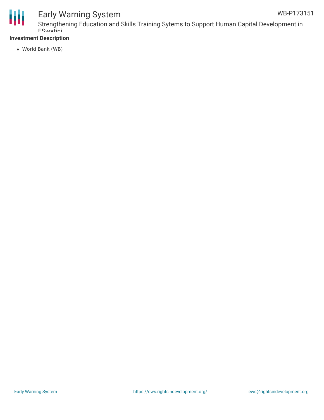

### **Investment Description**

World Bank (WB)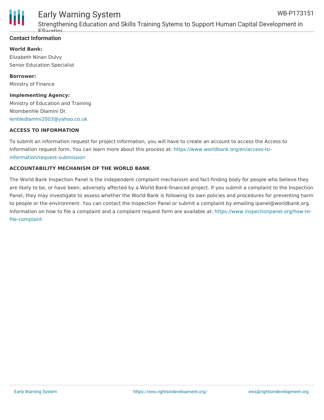

Strengthening Education and Skills Training Sytems to Support Human Capital Development in ESwatini

### **Contact Information**

**World Bank:** Elizabeth Ninan Dulvy Senior Education Specialist

**Borrower:** Ministry of Finance

**Implementing Agency:** Ministry of Education and Training Ntombenhle Dlamini Dr. [lenhledlamini2003@yahoo.co.uk](mailto:lenhledlamini2003@yahoo.co.uk)

#### **ACCESS TO INFORMATION**

To submit an information request for project information, you will have to create an account to access the Access to Information request form. You can learn more about this process at: [https://www.worldbank.org/en/access-to](https://www.worldbank.org/en/access-to-information/request-submission)information/request-submission

#### **ACCOUNTABILITY MECHANISM OF THE WORLD BANK**

The World Bank Inspection Panel is the independent complaint mechanism and fact-finding body for people who believe they are likely to be, or have been, adversely affected by a World Bank-financed project. If you submit a complaint to the Inspection Panel, they may investigate to assess whether the World Bank is following its own policies and procedures for preventing harm to people or the environment. You can contact the Inspection Panel or submit a complaint by emailing ipanel@worldbank.org. Information on how to file a complaint and a complaint request form are available at: [https://www.inspectionpanel.org/how-to](https://www.inspectionpanel.org/how-to-file-complaint)file-complaint